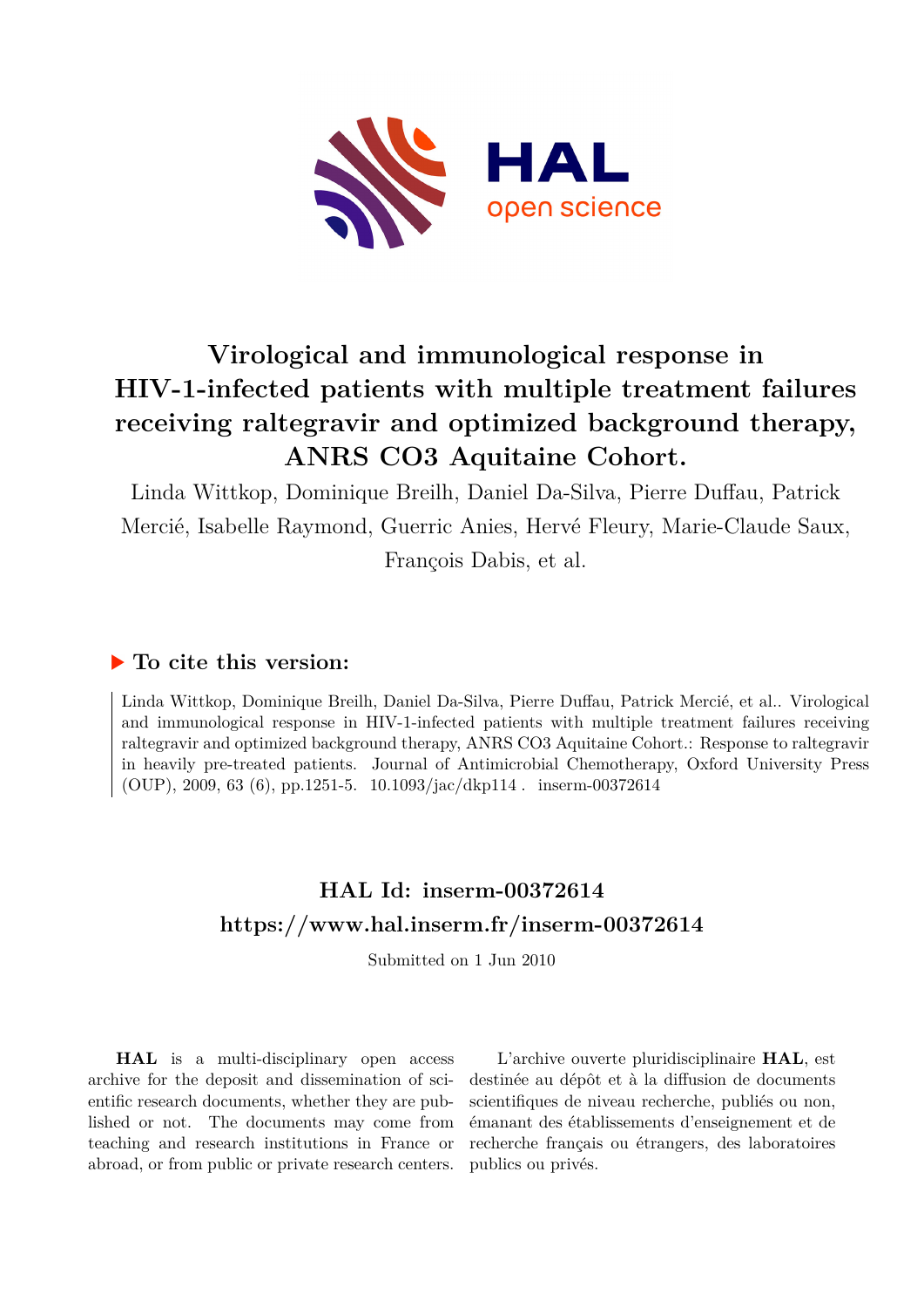

# **Virological and immunological response in HIV-1-infected patients with multiple treatment failures receiving raltegravir and optimized background therapy, ANRS CO3 Aquitaine Cohort.**

Linda Wittkop, Dominique Breilh, Daniel Da-Silva, Pierre Duffau, Patrick Mercié, Isabelle Raymond, Guerric Anies, Hervé Fleury, Marie-Claude Saux, François Dabis, et al.

# **To cite this version:**

Linda Wittkop, Dominique Breilh, Daniel Da-Silva, Pierre Duffau, Patrick Mercié, et al.. Virological and immunological response in HIV-1-infected patients with multiple treatment failures receiving raltegravir and optimized background therapy, ANRS CO3 Aquitaine Cohort.: Response to raltegravir in heavily pre-treated patients. Journal of Antimicrobial Chemotherapy, Oxford University Press (OUP), 2009, 63 (6), pp.1251-5.  $10.1093/jac/dkp114$ . inserm-00372614

# **HAL Id: inserm-00372614 <https://www.hal.inserm.fr/inserm-00372614>**

Submitted on 1 Jun 2010

**HAL** is a multi-disciplinary open access archive for the deposit and dissemination of scientific research documents, whether they are published or not. The documents may come from teaching and research institutions in France or abroad, or from public or private research centers.

L'archive ouverte pluridisciplinaire **HAL**, est destinée au dépôt et à la diffusion de documents scientifiques de niveau recherche, publiés ou non, émanant des établissements d'enseignement et de recherche français ou étrangers, des laboratoires publics ou privés.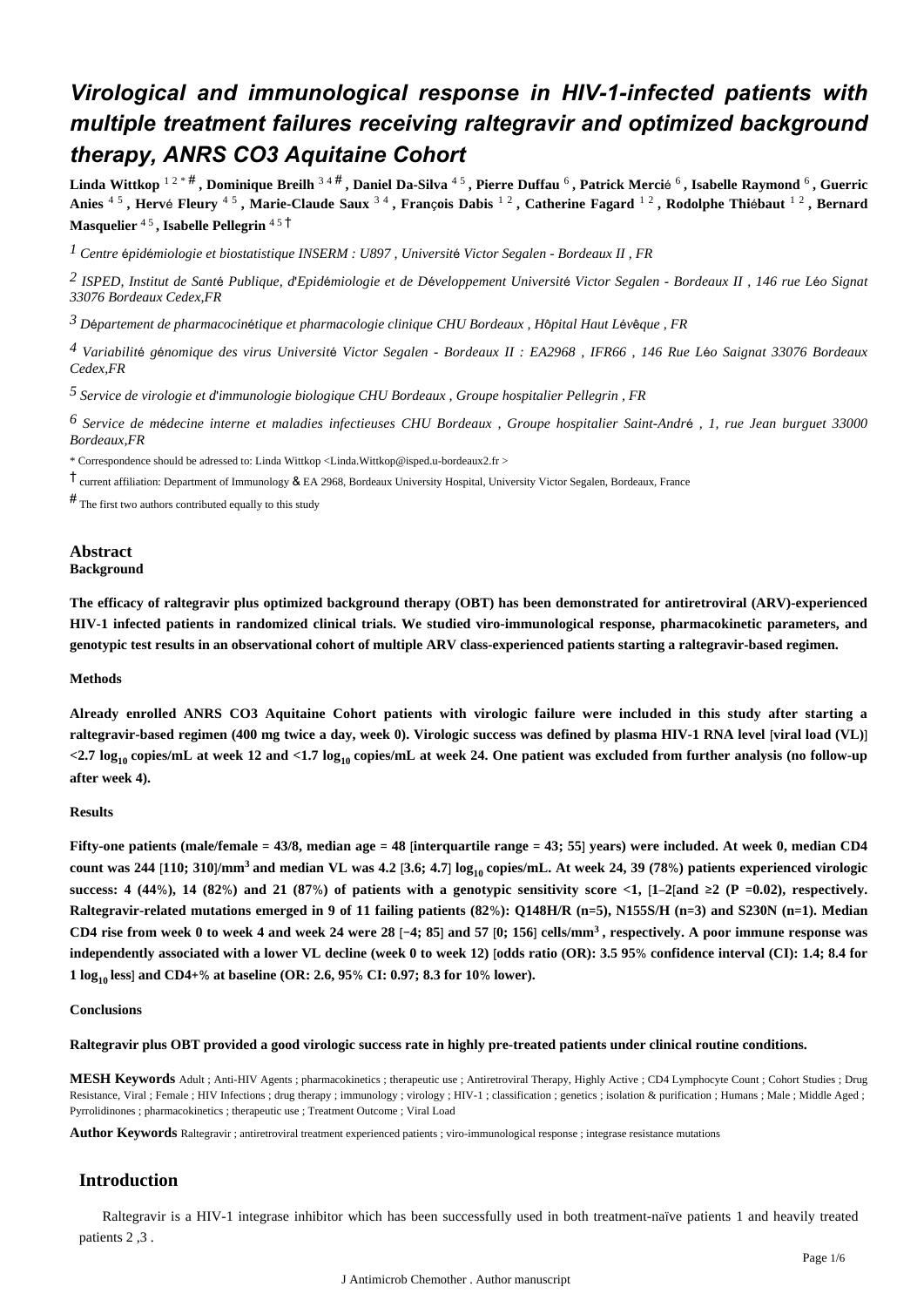# *Virological and immunological response in HIV-1-infected patients with multiple treatment failures receiving raltegravir and optimized background therapy, ANRS CO3 Aquitaine Cohort*

**Linda Wittkop** 1 2 \* # **, Dominique Breilh** 3 4 # **, Daniel Da-Silva** 4 5 **, Pierre Duffau** <sup>6</sup> **, Patrick Merci**é 6 **, Isabelle Raymond** <sup>6</sup> **, Guerric Anies** 4 5 **, Herv**é **Fleury** 4 5 **, Marie-Claude Saux** 3 4 **, Fran**ç**ois Dabis** 1 2 **, Catherine Fagard** 1 2 **, Rodolphe Thi**é**baut** 1 2 **, Bernard Masquelier** 4 5 **, Isabelle Pellegrin** 4 5 †

<sup>*I*</sup> Centre épidémiologie et biostatistique INSERM : U897, Université Victor Segalen - Bordeaux II, FR

*ISPED, Institut de Sant Publique, d Epid miologie et de D veloppement 2* <sup>é</sup> ' <sup>é</sup> <sup>é</sup> *Universit*é *Victor Segalen - Bordeaux II , 146 rue L*é*o Signat 33076 Bordeaux Cedex,FR*

*D partement de pharmacocin tique et pharmacologie clinique 3* <sup>é</sup> <sup>é</sup> *CHU Bordeaux , H*ô*pital Haut L*é*v*ê*que , FR*

*Variabilit g nomique des virus 4* <sup>é</sup> <sup>é</sup> *Universit*é *Victor Segalen - Bordeaux II : EA2968 , IFR66 , 146 Rue L*é*o Saignat 33076 Bordeaux Cedex,FR*

*Service de virologie et d immunologie biologique 5*  ' *CHU Bordeaux , Groupe hospitalier Pellegrin , FR*

*Service de m decine interne et maladies infectieuses 6* <sup>é</sup> *CHU Bordeaux , Groupe hospitalier Saint-Andr*<sup>é</sup> *, 1, rue Jean burguet 33000 Bordeaux,FR*

\* Correspondence should be adressed to: Linda Wittkop <Linda.Wittkop@isped.u-bordeaux2.fr >

† current affiliation: Department of Immunology & EA 2968, Bordeaux University Hospital, University Victor Segalen, Bordeaux, France

 $#$  The first two authors contributed equally to this study

# **Abstract**

# **Background**

**The efficacy of raltegravir plus optimized background therapy (OBT) has been demonstrated for antiretroviral (ARV)-experienced HIV-1 infected patients in randomized clinical trials. We studied viro-immunological response, pharmacokinetic parameters, and genotypic test results in an observational cohort of multiple ARV class-experienced patients starting a raltegravir-based regimen.**

#### **Methods**

**Already enrolled ANRS CO3 Aquitaine Cohort patients with virologic failure were included in this study after starting a raltegravir-based regimen (400 mg twice a day, week 0). Virologic success was defined by plasma HIV-1 RNA level** [**viral load (VL)**] **<2.7 log copies/mL at week 12 and <1.7 log copies/mL at week 24. One patient was excluded from further analysis (no follow-up 10 10 after week 4).**

#### **Results**

**Fifty-one patients (male/female** = **43/8, median age** = **48** [**interquartile range** = **43; 55**] **years) were included. At week 0, median CD4** count was 244 [110; 310]/mm<sup>3</sup> and median VL was 4.2 [3.6; 4.7]  $\log_{10}$  copies/mL. At week 24, 39 (78%) patients experienced virologic success: 4 (44%), 14 (82%) and 21 (87%) of patients with a genotypic sensitivity score <1,  $[1-2]$  and  $\geq 2$  (P =0.02), respectively. **Raltegravir-related mutations emerged in 9 of 11 failing patients (82**%**): Q148H/R (n**=**5), N155S/H (n**=**3) and S230N (n**=**1). Median CD4 rise from week 0 to week 4 and week 24 were 28** [−**4; 85**] **and 57** [**0; 156**] **cells/mm , respectively. A poor immune response was <sup>3</sup> independently associated with a lower VL decline (week 0 to week 12)** [**odds ratio (OR): 3.5 95**% **confidence interval (CI): 1.4; 8.4 for 1** log<sub>10</sub> less] and CD4+% at baseline (OR: 2.6, 95% CI: 0.97; 8.3 for 10% lower).

#### **Conclusions**

**Raltegravir plus OBT provided a good virologic success rate in highly pre-treated patients under clinical routine conditions.**

**MESH Keywords** Adult ; Anti-HIV Agents ; pharmacokinetics ; therapeutic use ; Antiretroviral Therapy, Highly Active ; CD4 Lymphocyte Count ; Cohort Studies ; Drug Resistance, Viral ; Female ; HIV Infections ; drug therapy ; immunology ; virology ; HIV-1 ; classification ; genetics ; isolation & purification ; Humans ; Male ; Middle Aged ; Pyrrolidinones ; pharmacokinetics ; therapeutic use ; Treatment Outcome ; Viral Load

**Author Keywords** Raltegravir ; antiretroviral treatment experienced patients ; viro-immunological response ; integrase resistance mutations

### **Introduction**

Raltegravir is a HIV-1 integrase inhibitor which has been successfully used in both treatment-naïve patients 1 and heavily treated patients 2 ,3 .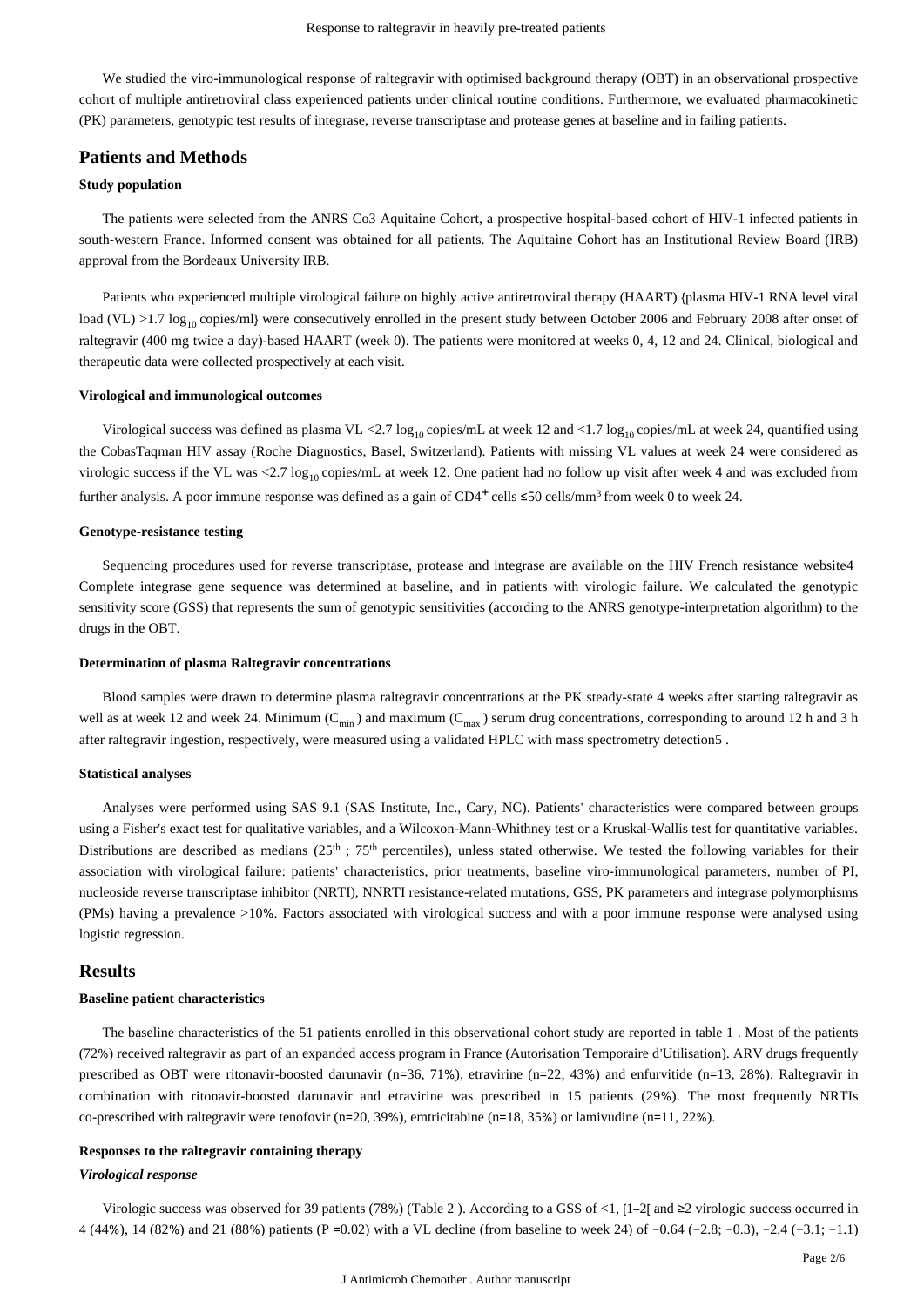We studied the viro-immunological response of raltegravir with optimised background therapy (OBT) in an observational prospective cohort of multiple antiretroviral class experienced patients under clinical routine conditions. Furthermore, we evaluated pharmacokinetic (PK) parameters, genotypic test results of integrase, reverse transcriptase and protease genes at baseline and in failing patients.

# **Patients and Methods**

#### **Study population**

The patients were selected from the ANRS Co3 Aquitaine Cohort, a prospective hospital-based cohort of HIV-1 infected patients in south-western France. Informed consent was obtained for all patients. The Aquitaine Cohort has an Institutional Review Board (IRB) approval from the Bordeaux University IRB.

Patients who experienced multiple virological failure on highly active antiretroviral therapy (HAART) {plasma HIV-1 RNA level viral load (VL) >1.7 log<sub>10</sub> copies/ml} were consecutively enrolled in the present study between October 2006 and February 2008 after onset of raltegravir (400 mg twice a day)-based HAART (week 0). The patients were monitored at weeks 0, 4, 12 and 24. Clinical, biological and therapeutic data were collected prospectively at each visit.

#### **Virological and immunological outcomes**

Virological success was defined as plasma VL <2.7  $\log_{10}$  copies/mL at week 12 and <1.7  $\log_{10}$  copies/mL at week 24, quantified using the CobasTaqman HIV assay (Roche Diagnostics, Basel, Switzerland). Patients with missing VL values at week 24 were considered as virologic success if the VL was <2.7  $\log_{10}$  copies/mL at week 12. One patient had no follow up visit after week 4 and was excluded from further analysis. A poor immune response was defined as a gain of CD4<sup>+</sup> cells  $\leq 50$  cells/mm<sup>3</sup> from week 0 to week 24.

#### **Genotype-resistance testing**

Sequencing procedures used for reverse transcriptase, protease and integrase are available on the HIV French resistance website4 Complete integrase gene sequence was determined at baseline, and in patients with virologic failure. We calculated the genotypic sensitivity score (GSS) that represents the sum of genotypic sensitivities (according to the ANRS genotype-interpretation algorithm) to the drugs in the OBT.

#### **Determination of plasma Raltegravir concentrations**

Blood samples were drawn to determine plasma raltegravir concentrations at the PK steady-state 4 weeks after starting raltegravir as well as at week 12 and week 24. Minimum ( $C_{\text{min}}$ ) and maximum ( $C_{\text{max}}$ ) serum drug concentrations, corresponding to around 12 h and 3 h after raltegravir ingestion, respectively, were measured using a validated HPLC with mass spectrometry detection5 .

#### **Statistical analyses**

Analyses were performed using SAS 9.1 (SAS Institute, Inc., Cary, NC). Patients' characteristics were compared between groups using a Fisher's exact test for qualitative variables, and a Wilcoxon-Mann-Whithney test or a Kruskal-Wallis test for quantitative variables. Distributions are described as medians ( $25<sup>th</sup>$ ; 75<sup>th</sup> percentiles), unless stated otherwise. We tested the following variables for their association with virological failure: patients' characteristics, prior treatments, baseline viro-immunological parameters, number of PI, nucleoside reverse transcriptase inhibitor (NRTI), NNRTI resistance-related mutations, GSS, PK parameters and integrase polymorphisms (PMs) having a prevalence >10%. Factors associated with virological success and with a poor immune response were analysed using logistic regression.

#### **Results**

#### **Baseline patient characteristics**

The baseline characteristics of the 51 patients enrolled in this observational cohort study are reported in table 1 . Most of the patients (72%) received raltegravir as part of an expanded access program in France (Autorisation Temporaire d'Utilisation). ARV drugs frequently prescribed as OBT were ritonavir-boosted darunavir (n=36, 71%), etravirine (n=22, 43%) and enfurvitide (n=13, 28%). Raltegravir in combination with ritonavir-boosted darunavir and etravirine was prescribed in 15 patients (29%). The most frequently NRTIs co-prescribed with raltegravir were tenofovir (n=20, 39%), emtricitabine (n=18, 35%) or lamivudine (n=11, 22%).

#### **Responses to the raltegravir containing therapy**

#### *Virological response*

Virologic success was observed for 39 patients (78%) (Table 2 ). According to a GSS of <1, [1–2[ and ≥2 virologic success occurred in 4 (44%), 14 (82%) and 21 (88%) patients (P =0.02) with a VL decline (from baseline to week 24) of −0.64 (−2.8; −0.3), −2.4 (−3.1; −1.1)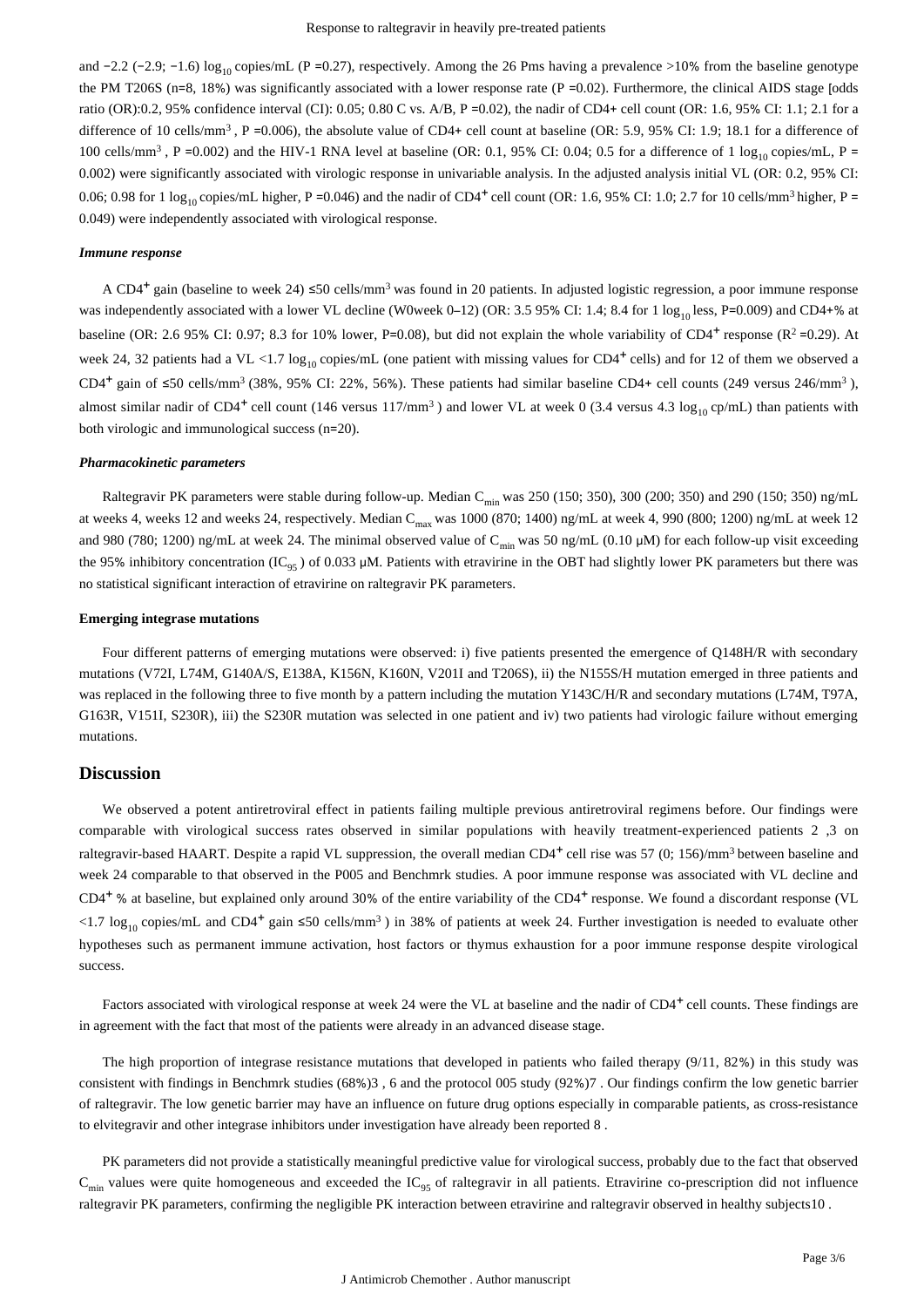and  $-2.2$  ( $-2.9$ ;  $-1.6$ ) log<sub>10</sub> copies/mL (P = 0.27), respectively. Among the 26 Pms having a prevalence >10% from the baseline genotype the PM T206S ( $n=8$ , 18%) was significantly associated with a lower response rate ( $P = 0.02$ ). Furthermore, the clinical AIDS stage [odds ratio (OR):0.2, 95% confidence interval (CI): 0.05; 0.80 C vs. A/B, P =0.02), the nadir of CD4+ cell count (OR: 1.6, 95% CI: 1.1; 2.1 for a difference of 10 cells/mm<sup>3</sup>, P = 0.006), the absolute value of CD4+ cell count at baseline (OR: 5.9, 95% CI: 1.9; 18.1 for a difference of 100 cells/mm<sup>3</sup>, P = 0.002) and the HIV-1 RNA level at baseline (OR: 0.1, 95% CI: 0.04; 0.5 for a difference of 1 log<sub>10</sub> copies/mL, P = 0.002) were significantly associated with virologic response in univariable analysis. In the adjusted analysis initial VL (OR: 0.2, 95% CI: 0.06; 0.98 for 1  $\log_{10}$  copies/mL higher, P = 0.046) and the nadir of CD4<sup>+</sup> cell count (OR: 1.6, 95% CI: 1.0; 2.7 for 10 cells/mm<sup>3</sup> higher, P = 0.049) were independently associated with virological response.

#### *Immune response*

A CD4<sup>+</sup> gain (baseline to week 24) ≤50 cells/mm<sup>3</sup> was found in 20 patients. In adjusted logistic regression, a poor immune response was independently associated with a lower VL decline (W0week 0–12) (OR: 3.5 95% CI: 1.4; 8.4 for 1  $\log_{10}$  less, P=0.009) and CD4+% at baseline (OR: 2.6 95% CI: 0.97; 8.3 for 10% lower, P=0.08), but did not explain the whole variability of CD4<sup>+</sup> response (R<sup>2</sup>=0.29). At week 24, 32 patients had a VL <1.7  $log_{10}$  copies/mL (one patient with missing values for CD4<sup>+</sup> cells) and for 12 of them we observed a CD4<sup>+</sup> gain of ≤50 cells/mm<sup>3</sup> (38%, 95% CI: 22%, 56%). These patients had similar baseline CD4+ cell counts (249 versus 246/mm<sup>3</sup>), almost similar nadir of CD4<sup>+</sup> cell count (146 versus 117/mm<sup>3</sup>) and lower VL at week 0 (3.4 versus 4.3  $\log_{10}$  cp/mL) than patients with both virologic and immunological success (n=20).

#### *Pharmacokinetic parameters*

Raltegravir PK parameters were stable during follow-up. Median C<sub>min</sub> was 250 (150; 350), 300 (200; 350) and 290 (150; 350) ng/mL at weeks 4, weeks 12 and weeks 24, respectively. Median  $C_{\text{max}}$  was 1000 (870; 1400) ng/mL at week 4, 990 (800; 1200) ng/mL at week 12 and 980 (780; 1200) ng/mL at week 24. The minimal observed value of  $C_{\text{min}}$  was 50 ng/mL (0.10 µM) for each follow-up visit exceeding the 95% inhibitory concentration (IC<sub>95</sub>) of 0.033  $\mu$ M. Patients with etravirine in the OBT had slightly lower PK parameters but there was no statistical significant interaction of etravirine on raltegravir PK parameters.

#### **Emerging integrase mutations**

Four different patterns of emerging mutations were observed: i) five patients presented the emergence of Q148H/R with secondary mutations (V72I, L74M, G140A/S, E138A, K156N, K160N, V201I and T206S), ii) the N155S/H mutation emerged in three patients and was replaced in the following three to five month by a pattern including the mutation Y143C/H/R and secondary mutations (L74M, T97A, G163R, V151I, S230R), iii) the S230R mutation was selected in one patient and iv) two patients had virologic failure without emerging mutations.

### **Discussion**

We observed a potent antiretroviral effect in patients failing multiple previous antiretroviral regimens before. Our findings were comparable with virological success rates observed in similar populations with heavily treatment-experienced patients 2 ,3 on raltegravir-based HAART. Despite a rapid VL suppression, the overall median CD4<sup>+</sup> cell rise was 57 (0; 156)/mm<sup>3</sup> between baseline and week 24 comparable to that observed in the P005 and Benchmrk studies. A poor immune response was associated with VL decline and  $CD4<sup>+</sup>$ % at baseline, but explained only around 30% of the entire variability of the  $CD4<sup>+</sup>$  response. We found a discordant response (VL <1.7  $\log_{10}$  copies/mL and CD4<sup>+</sup> gain ≤50 cells/mm<sup>3</sup>) in 38% of patients at week 24. Further investigation is needed to evaluate other hypotheses such as permanent immune activation, host factors or thymus exhaustion for a poor immune response despite virological success.

Factors associated with virological response at week 24 were the VL at baseline and the nadir of  $CD4<sup>+</sup>$  cell counts. These findings are in agreement with the fact that most of the patients were already in an advanced disease stage.

The high proportion of integrase resistance mutations that developed in patients who failed therapy (9/11, 82%) in this study was consistent with findings in Benchmrk studies (68%)3 , 6 and the protocol 005 study (92%)7 . Our findings confirm the low genetic barrier of raltegravir. The low genetic barrier may have an influence on future drug options especially in comparable patients, as cross-resistance to elvitegravir and other integrase inhibitors under investigation have already been reported 8 .

PK parameters did not provide a statistically meaningful predictive value for virological success, probably due to the fact that observed  $C_{\text{min}}$  values were quite homogeneous and exceeded the IC<sub>95</sub> of raltegravir in all patients. Etravirine co-prescription did not influence raltegravir PK parameters, confirming the negligible PK interaction between etravirine and raltegravir observed in healthy subjects10 .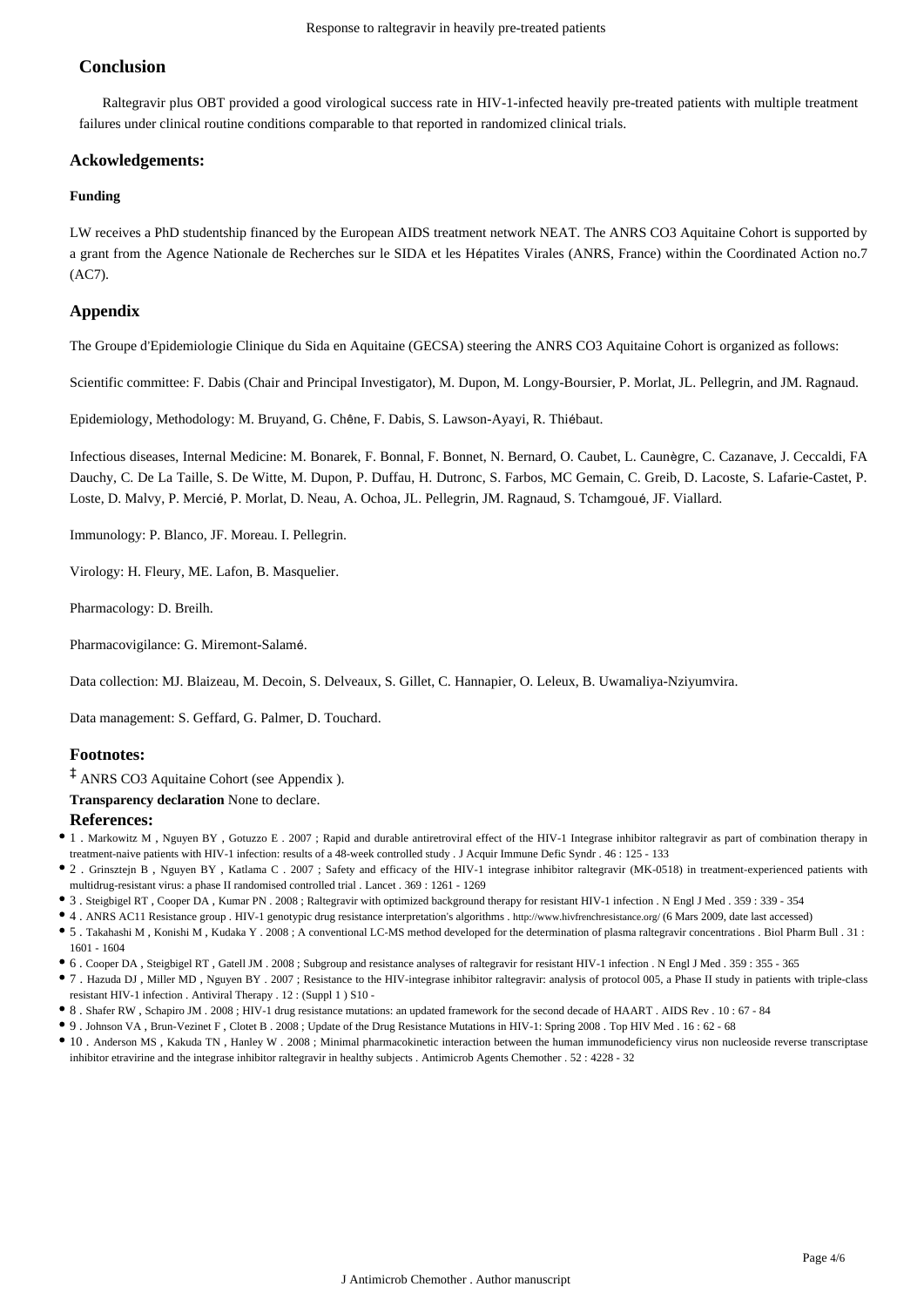## **Conclusion**

Raltegravir plus OBT provided a good virological success rate in HIV-1-infected heavily pre-treated patients with multiple treatment failures under clinical routine conditions comparable to that reported in randomized clinical trials.

#### **Ackowledgements:**

#### **Funding**

LW receives a PhD studentship financed by the European AIDS treatment network NEAT. The ANRS CO3 Aquitaine Cohort is supported by a grant from the Agence Nationale de Recherches sur le SIDA et les Hépatites Virales (ANRS, France) within the Coordinated Action no.7 (AC7).

### **Appendix**

The Groupe d'Epidemiologie Clinique du Sida en Aquitaine (GECSA) steering the ANRS CO3 Aquitaine Cohort is organized as follows:

Scientific committee: F. Dabis (Chair and Principal Investigator), M. Dupon, M. Longy-Boursier, P. Morlat, JL. Pellegrin, and JM. Ragnaud.

Epidemiology, Methodology: M. Bruyand, G. Chêne, F. Dabis, S. Lawson-Ayayi, R. Thiébaut.

Infectious diseases, Internal Medicine: M. Bonarek, F. Bonnal, F. Bonnet, N. Bernard, O. Caubet, L. Caunègre, C. Cazanave, J. Ceccaldi, FA Dauchy, C. De La Taille, S. De Witte, M. Dupon, P. Duffau, H. Dutronc, S. Farbos, MC Gemain, C. Greib, D. Lacoste, S. Lafarie-Castet, P. Loste, D. Malvy, P. Mercié, P. Morlat, D. Neau, A. Ochoa, JL. Pellegrin, JM. Ragnaud, S. Tchamgoué, JF. Viallard.

Immunology: P. Blanco, JF. Moreau. I. Pellegrin.

Virology: H. Fleury, ME. Lafon, B. Masquelier.

Pharmacology: D. Breilh.

Pharmacovigilance: G. Miremont-Salamé.

Data collection: MJ. Blaizeau, M. Decoin, S. Delveaux, S. Gillet, C. Hannapier, O. Leleux, B. Uwamaliya-Nziyumvira.

Data management: S. Geffard, G. Palmer, D. Touchard.

### **Footnotes:**

‡ ANRS CO3 Aquitaine Cohort (see Appendix ).

**Transparency declaration** None to declare.

#### **References:**

- 1 . Markowitz M , Nguyen BY , Gotuzzo E . 2007 ; Rapid and durable antiretroviral effect of the HIV-1 Integrase inhibitor raltegravir as part of combination therapy in treatment-naive patients with HIV-1 infection: results of a 48-week controlled study . J Acquir Immune Defic Syndr . 46 : 125 - 133
- 2 . Grinsztejn B , Nguyen BY , Katlama C . 2007 ; Safety and efficacy of the HIV-1 integrase inhibitor raltegravir (MK-0518) in treatment-experienced patients with multidrug-resistant virus: a phase II randomised controlled trial . Lancet . 369 : 1261 - 1269
- 3 . Steigbigel RT , Cooper DA , Kumar PN . 2008 ; Raltegravir with optimized background therapy for resistant HIV-1 infection . N Engl J Med . 359 : 339 354
- 4 . ANRS AC11 Resistance group . HIV-1 genotypic drug resistance interpretation's algorithms . http://www.hivfrenchresistance.org/ (6 Mars 2009, date last accessed)
- 5 . Takahashi M , Konishi M , Kudaka Y . 2008 ; A conventional LC-MS method developed for the determination of plasma raltegravir concentrations . Biol Pharm Bull . 31 : 1601 - 1604
- 6 . Cooper DA , Steigbigel RT , Gatell JM . 2008 ; Subgroup and resistance analyses of raltegravir for resistant HIV-1 infection . N Engl J Med . 359 : 355 365
- 7 . Hazuda DJ , Miller MD , Nguyen BY . 2007 ; Resistance to the HIV-integrase inhibitor raltegravir: analysis of protocol 005, a Phase II study in patients with triple-class resistant HIV-1 infection . Antiviral Therapy . 12 : (Suppl 1 ) S10 -
- 8 . Shafer RW , Schapiro JM . 2008 ; HIV-1 drug resistance mutations: an updated framework for the second decade of HAART . AIDS Rev . 10 : 67 84
- 9 . Johnson VA , Brun-Vezinet F , Clotet B . 2008 ; Update of the Drug Resistance Mutations in HIV-1: Spring 2008 . Top HIV Med . 16 : 62 68
- 10 . Anderson MS , Kakuda TN , Hanley W . 2008 ; Minimal pharmacokinetic interaction between the human immunodeficiency virus non nucleoside reverse transcriptase inhibitor etravirine and the integrase inhibitor raltegravir in healthy subjects . Antimicrob Agents Chemother . 52 : 4228 - 32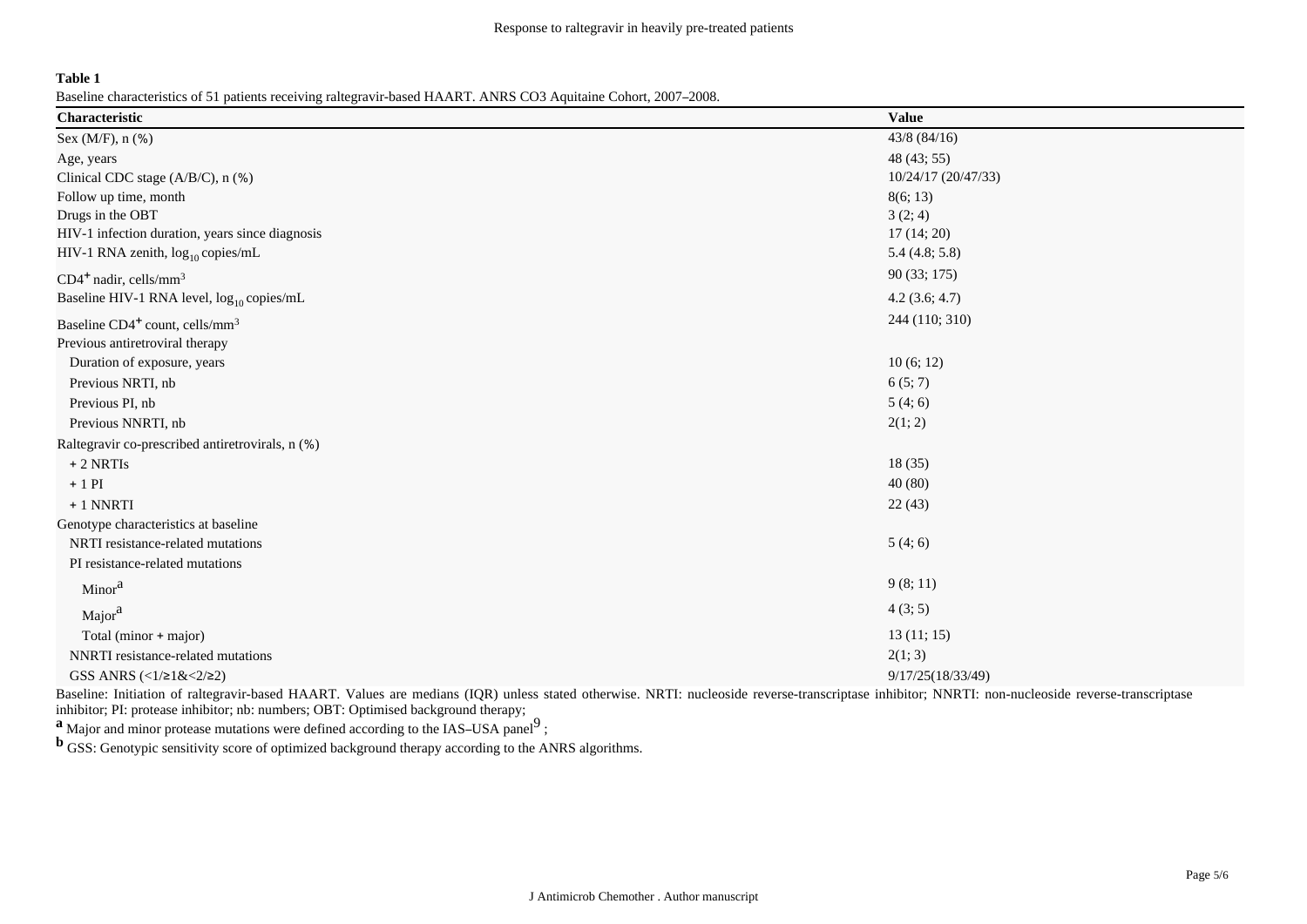#### **Table 1**

Baseline characteristics of 51 patients receiving raltegravir-based HAART. ANRS CO3 Aquitaine Cohort, 2007–2008.

| Characteristic                                         | <b>Value</b>        |
|--------------------------------------------------------|---------------------|
| Sex (M/F), n (%)                                       | $43/8$ (84/16)      |
| Age, years                                             | 48 (43; 55)         |
| Clinical CDC stage (A/B/C), n (%)                      | 10/24/17 (20/47/33) |
| Follow up time, month                                  | 8(6; 13)            |
| Drugs in the OBT                                       | 3(2; 4)             |
| HIV-1 infection duration, years since diagnosis        | 17(14; 20)          |
| HIV-1 RNA zenith, $log_{10}$ copies/mL                 | 5.4(4.8; 5.8)       |
| $CD4^+$ nadir, cells/mm <sup>3</sup>                   | 90 (33; 175)        |
| Baseline HIV-1 RNA level, $log_{10}$ copies/mL         | 4.2(3.6; 4.7)       |
| Baseline CD4 <sup>+</sup> count, cells/mm <sup>3</sup> | 244 (110; 310)      |
| Previous antiretroviral therapy                        |                     |
| Duration of exposure, years                            | 10(6; 12)           |
| Previous NRTI, nb                                      | 6(5; 7)             |
| Previous PI, nb                                        | 5(4;6)              |
| Previous NNRTI, nb                                     | 2(1; 2)             |
| Raltegravir co-prescribed antiretrovirals, n (%)       |                     |
| $+2$ NRTIs                                             | 18(35)              |
| $+1$ PI                                                | 40(80)              |
| + 1 NNRTI                                              | 22(43)              |
| Genotype characteristics at baseline                   |                     |
| NRTI resistance-related mutations                      | 5(4;6)              |
| PI resistance-related mutations                        |                     |
| Minor <sup>a</sup>                                     | 9(8; 11)            |
| Major <sup>a</sup>                                     | 4(3; 5)             |
| Total (minor + major)                                  | 13(11; 15)          |
| NNRTI resistance-related mutations                     | 2(1; 3)             |
| GSS ANRS (<1/21&<2/22)                                 | 9/17/25(18/33/49)   |

Baseline: Initiation of raltegravir-based HAART. Values are medians (IQR) unless stated otherwise. NRTI: nucleoside reverse-transcriptase inhibitor; NNRTI: non-nucleoside reverse-transcriptase inhibitor; PI: protease inhibitor; nb: numbers; OBT: Optimised background therapy;

**a** Major and minor protease mutations were defined according to the IAS–USA panel<sup>9</sup>;

**b** GSS: Genotypic sensitivity score of optimized background therapy according to the ANRS algorithms.